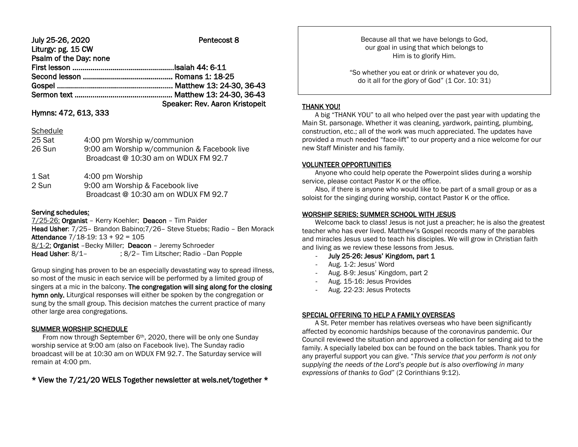# July 25-26, 2020 Pentecost 8

| LIGISY. $P_{\mathbf{S}}$ . LU VII |                                |
|-----------------------------------|--------------------------------|
| Psalm of the Day: none            |                                |
|                                   |                                |
|                                   |                                |
|                                   |                                |
|                                   |                                |
|                                   | Speaker: Rev. Aaron Kristopeit |

## Hymns: 472, 613, 333

Liturgy: pg. 15 CW

#### **Schedule**

| 25 Sat<br>26 Sun     | 4:00 pm Worship w/communion<br>9:00 am Worship w/communion & Facebook live<br>Broadcast @ 10:30 am on WDUX FM 92.7 |
|----------------------|--------------------------------------------------------------------------------------------------------------------|
| $1$ C <sub>o</sub> + | $1.00 \text{ nm}$ Worchin                                                                                          |

| ⊥ Jal | <b>4.00 DILL VVOLSHID</b>            |
|-------|--------------------------------------|
| 2 Sun | 9:00 am Worship & Facebook live      |
|       | Broadcast @ 10:30 am on WDUX FM 92.7 |

#### Serving schedules:

7/25-26: Organist – Kerry Koehler; Deacon – Tim Paider Head Usher: 7/25– Brandon Babino;7/26– Steve Stuebs; Radio – Ben Morack Attendance 7/18-19: 13 + 92 = 105 8/1-2: Organist - Becky Miller; Deacon - Jeremy Schroeder Head Usher: 8/1- ; 8/2- Tim Litscher; Radio -Dan Popple

Group singing has proven to be an especially devastating way to spread illness, so most of the music in each service will be performed by a limited group of singers at a mic in the balcony. The congregation will sing along for the closing hymn only. Liturgical responses will either be spoken by the congregation or sung by the small group. This decision matches the current practice of many other large area congregations.

## SUMMER WORSHIP SCHEDULE

From now through September 6<sup>th</sup>, 2020, there will be only one Sunday worship service at 9:00 am (also on Facebook live). The Sunday radio broadcast will be at 10:30 am on WDUX FM 92.7. The Saturday service will remain at 4:00 pm.

\* View the 7/21/20 WELS Together newsletter at wels.net/together \*

Because all that we have belongs to God, our goal in using that which belongs to Him is to glorify Him.

"So whether you eat or drink or whatever you do, do it all for the glory of God" (1 Cor. 10: 31)

#### THANK YOU!

 A big "THANK YOU" to all who helped over the past year with updating the Main St. parsonage. Whether it was cleaning, yardwork, painting, plumbing, construction, etc.; all of the work was much appreciated. The updates have provided a much needed "face-lift" to our property and a nice welcome for our new Staff Minister and his family.

## VOLUNTEER OPPORTUNITIES

 Anyone who could help operate the Powerpoint slides during a worship service, please contact Pastor K or the office.

 Also, if there is anyone who would like to be part of a small group or as a soloist for the singing during worship, contact Pastor K or the office.

#### WORSHIP SERIES: SUMMER SCHOOL WITH JESUS

 Welcome back to class! Jesus is not just a preacher; he is also the greatest teacher who has ever lived. Matthew's Gospel records many of the parables and miracles Jesus used to teach his disciples. We will grow in Christian faith and living as we review these lessons from Jesus.

- July 25-26: Jesus' Kingdom, part 1
- Aug. 1-2: Jesus' Word
- Aug. 8-9: Jesus' Kingdom, part 2
- Aug. 15-16: Jesus Provides
- Aug. 22-23: Jesus Protects

## SPECIAL OFFERING TO HELP A FAMILY OVERSEAS

 A St. Peter member has relatives overseas who have been significantly affected by economic hardships because of the coronavirus pandemic. Our Council reviewed the situation and approved a collection for sending aid to the family. A specially labeled box can be found on the back tables. Thank you for any prayerful support you can give. "*This service that you perform is not only supplying the needs of the Lord's people but is also overflowing in many expressions of thanks to God*" (2 Corinthians 9:12).